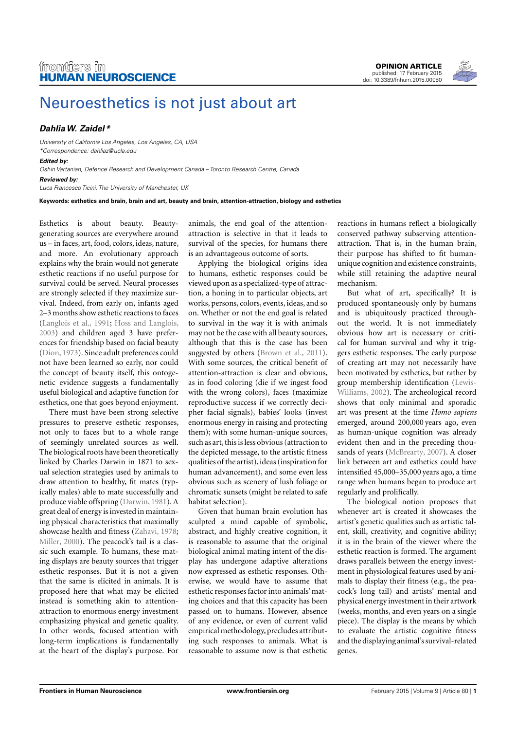

## [Neuroesthetics is not just about art](http://www.frontiersin.org/Journal/10.3389/fnhum.2015.00080/abstract)

## **[DahliaW. Zaidel \\*](http://www.frontiersin.org/people/u/112816)**

University of California Los Angeles, Los Angeles, CA, USA \*Correspondence: [dahliaz@ucla.edu](mailto:dahliaz@ucla.edu)

## **Edited by:**

Oshin Vartanian, Defence Research and Development Canada – Toronto Research Centre, Canada

**Reviewed by:**

Luca Francesco Ticini, The University of Manchester, UK

**Keywords: esthetics and brain, brain and art, beauty and brain, attention-attraction, biology and esthetics**

Esthetics is about beauty. Beautygenerating sources are everywhere around us – in faces, art, food, colors, ideas, nature, and more. An evolutionary approach explains why the brain would not generate esthetic reactions if no useful purpose for survival could be served. Neural processes are strongly selected if they maximize survival. Indeed, from early on, infants aged 2–3 months show esthetic reactions to faces [\(Langlois et al., 1991;](#page-1-0) [Hoss and Langlois,](#page-1-1) [2003\)](#page-1-1) and children aged 3 have preferences for friendship based on facial beauty [\(Dion, 1973\)](#page-1-2). Since adult preferences could not have been learned so early, nor could the concept of beauty itself, this ontogenetic evidence suggests a fundamentally useful biological and adaptive function for esthetics, one that goes beyond enjoyment.

There must have been strong selective pressures to preserve esthetic responses, not only to faces but to a whole range of seemingly unrelated sources as well. The biological roots have been theoretically linked by Charles Darwin in 1871 to sexual selection strategies used by animals to draw attention to healthy, fit mates (typically males) able to mate successfully and produce viable offspring [\(Darwin, 1981\)](#page-1-3). A great deal of energy is invested in maintaining physical characteristics that maximally showcase health and fitness [\(Zahavi, 1978;](#page-1-4) [Miller, 2000\)](#page-1-5). The peacock's tail is a classic such example. To humans, these mating displays are beauty sources that trigger esthetic responses. But it is not a given that the same is elicited in animals. It is proposed here that what may be elicited instead is something akin to attentionattraction to enormous energy investment emphasizing physical and genetic quality. In other words, focused attention with long-term implications is fundamentally at the heart of the display's purpose. For

animals, the end goal of the attentionattraction is selective in that it leads to survival of the species, for humans there is an advantageous outcome of sorts.

Applying the biological origins idea to humans, esthetic responses could be viewed upon as a specialized-type of attraction, a honing in to particular objects, art works, persons, colors, events, ideas, and so on. Whether or not the end goal is related to survival in the way it is with animals may not be the case with all beauty sources, although that this is the case has been suggested by others [\(Brown et al., 2011\)](#page-1-6). With some sources, the critical benefit of attention-attraction is clear and obvious, as in food coloring (die if we ingest food with the wrong colors), faces (maximize reproductive success if we correctly decipher facial signals), babies' looks (invest enormous energy in raising and protecting them); with some human-unique sources, such as art, this is less obvious (attraction to the depicted message, to the artistic fitness qualities of the artist), ideas (inspiration for human advancement), and some even less obvious such as scenery of lush foliage or chromatic sunsets (might be related to safe habitat selection).

Given that human brain evolution has sculpted a mind capable of symbolic, abstract, and highly creative cognition, it is reasonable to assume that the original biological animal mating intent of the display has undergone adaptive alterations now expressed as esthetic responses. Otherwise, we would have to assume that esthetic responses factor into animals' mating choices and that this capacity has been passed on to humans. However, absence of any evidence, or even of current valid empirical methodology, precludes attributing such responses to animals. What is reasonable to assume now is that esthetic reactions in humans reflect a biologically conserved pathway subserving attentionattraction. That is, in the human brain, their purpose has shifted to fit humanunique cognition and existence constraints, while still retaining the adaptive neural mechanism.

But what of art, specifically? It is produced spontaneously only by humans and is ubiquitously practiced throughout the world. It is not immediately obvious how art is necessary or critical for human survival and why it triggers esthetic responses. The early purpose of creating art may not necessarily have been motivated by esthetics, but rather by group membership identification [\(Lewis-](#page-1-7)[Williams, 2002\)](#page-1-7). The archeological record shows that only minimal and sporadic art was present at the time *Homo sapiens* emerged, around 200,000 years ago, even as human-unique cognition was already evident then and in the preceding thousands of years [\(McBrearty, 2007\)](#page-1-8). A closer link between art and esthetics could have intensified 45,000–35,000 years ago, a time range when humans began to produce art regularly and prolifically.

The biological notion proposes that whenever art is created it showcases the artist's genetic qualities such as artistic talent, skill, creativity, and cognitive ability; it is in the brain of the viewer where the esthetic reaction is formed. The argument draws parallels between the energy investment in physiological features used by animals to display their fitness (e.g., the peacock's long tail) and artists' mental and physical energy investment in their artwork (weeks, months, and even years on a single piece). The display is the means by which to evaluate the artistic cognitive fitness and the displaying animal's survival-related genes.